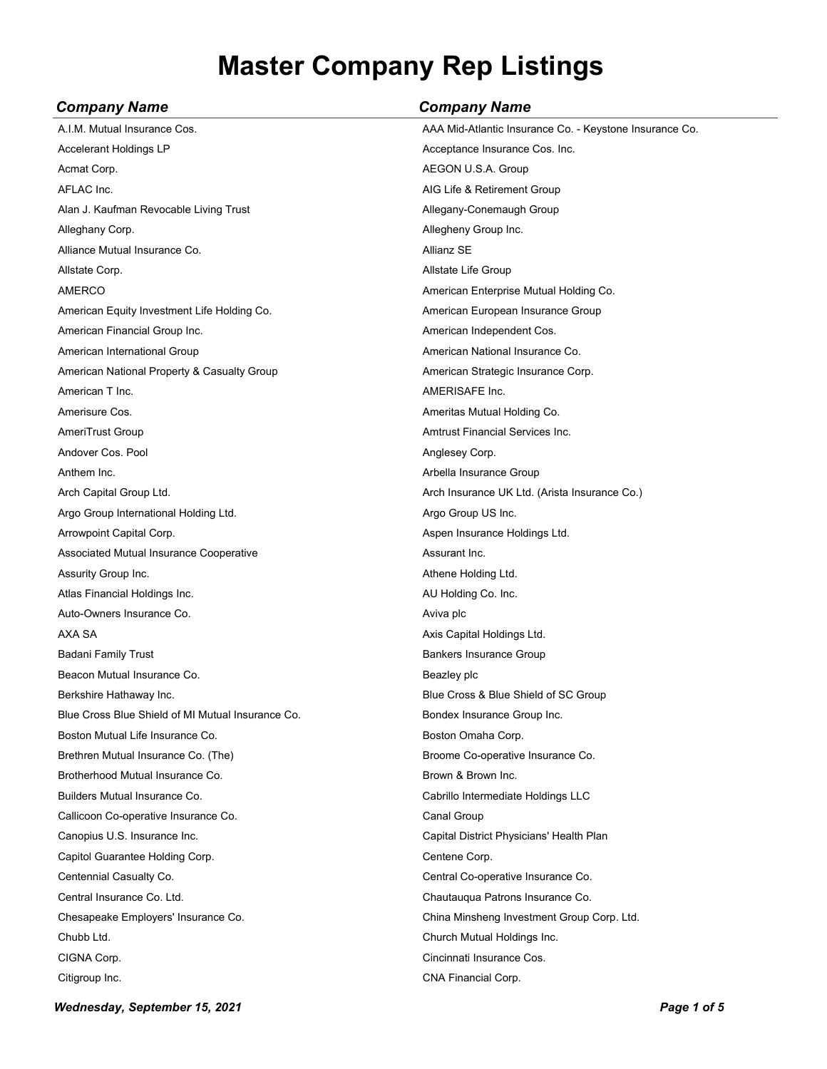| <b>Company Name</b>                               | <b>Company Name</b>                                     |
|---------------------------------------------------|---------------------------------------------------------|
| A.I.M. Mutual Insurance Cos.                      | AAA Mid-Atlantic Insurance Co. - Keystone Insurance Co. |
| Accelerant Holdings LP                            | Acceptance Insurance Cos. Inc.                          |
| Acmat Corp.                                       | AEGON U.S.A. Group                                      |
| AFLAC Inc.                                        | AIG Life & Retirement Group                             |
| Alan J. Kaufman Revocable Living Trust            | Allegany-Conemaugh Group                                |
| Alleghany Corp.                                   | Allegheny Group Inc.                                    |
| Alliance Mutual Insurance Co.                     | Allianz SE                                              |
| Allstate Corp.                                    | Allstate Life Group                                     |
| <b>AMERCO</b>                                     | American Enterprise Mutual Holding Co.                  |
| American Equity Investment Life Holding Co.       | American European Insurance Group                       |
| American Financial Group Inc.                     | American Independent Cos.                               |
| American International Group                      | American National Insurance Co.                         |
| American National Property & Casualty Group       | American Strategic Insurance Corp.                      |
| American T Inc.                                   | AMERISAFE Inc.                                          |
| Amerisure Cos.                                    | Ameritas Mutual Holding Co.                             |
| AmeriTrust Group                                  | <b>Amtrust Financial Services Inc.</b>                  |
| Andover Cos. Pool                                 | Anglesey Corp.                                          |
| Anthem Inc.                                       | Arbella Insurance Group                                 |
| Arch Capital Group Ltd.                           | Arch Insurance UK Ltd. (Arista Insurance Co.)           |
| Argo Group International Holding Ltd.             | Argo Group US Inc.                                      |
| Arrowpoint Capital Corp.                          | Aspen Insurance Holdings Ltd.                           |
| Associated Mutual Insurance Cooperative           | Assurant Inc.                                           |
| Assurity Group Inc.                               | Athene Holding Ltd.                                     |
| Atlas Financial Holdings Inc.                     | AU Holding Co. Inc.                                     |
| Auto-Owners Insurance Co.                         | Aviva plc                                               |
| AXA SA                                            | Axis Capital Holdings Ltd.                              |
| Badani Family Trust                               | <b>Bankers Insurance Group</b>                          |
| Beacon Mutual Insurance Co.                       | Beazley plc                                             |
| Berkshire Hathaway Inc.                           | Blue Cross & Blue Shield of SC Group                    |
| Blue Cross Blue Shield of MI Mutual Insurance Co. | Bondex Insurance Group Inc.                             |
| Boston Mutual Life Insurance Co.                  | Boston Omaha Corp.                                      |
| Brethren Mutual Insurance Co. (The)               | Broome Co-operative Insurance Co.                       |
| Brotherhood Mutual Insurance Co.                  | Brown & Brown Inc.                                      |
| Builders Mutual Insurance Co.                     | Cabrillo Intermediate Holdings LLC                      |
| Callicoon Co-operative Insurance Co.              | Canal Group                                             |
| Canopius U.S. Insurance Inc.                      | Capital District Physicians' Health Plan                |
| Capitol Guarantee Holding Corp.                   | Centene Corp.                                           |
| Centennial Casualty Co.                           | Central Co-operative Insurance Co.                      |
| Central Insurance Co. Ltd.                        | Chautauqua Patrons Insurance Co.                        |
| Chesapeake Employers' Insurance Co.               | China Minsheng Investment Group Corp. Ltd.              |
| Chubb Ltd.                                        | Church Mutual Holdings Inc.                             |
| CIGNA Corp.                                       | Cincinnati Insurance Cos.                               |
| Citigroup Inc.                                    | CNA Financial Corp.                                     |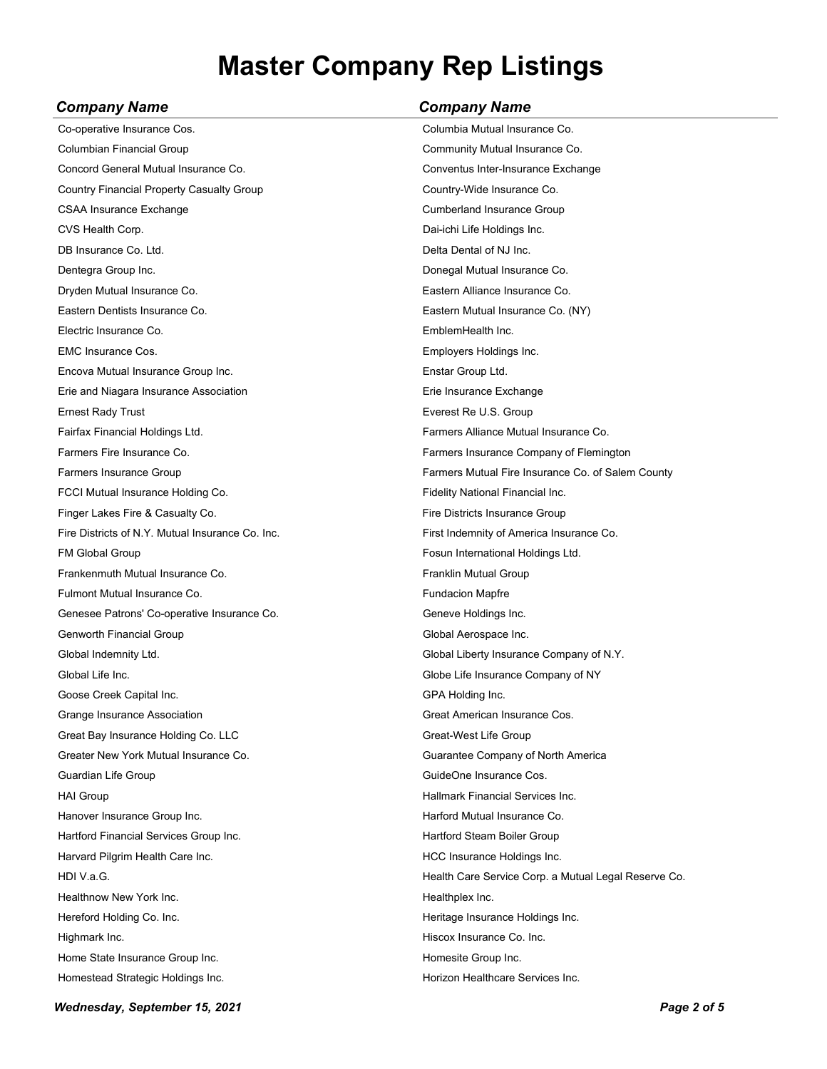| Company Name                                     | <b>Company Name</b>                                  |
|--------------------------------------------------|------------------------------------------------------|
| Co-operative Insurance Cos.                      | Columbia Mutual Insurance Co.                        |
| Columbian Financial Group                        | Community Mutual Insurance Co.                       |
| Concord General Mutual Insurance Co.             | Conventus Inter-Insurance Exchange                   |
| Country Financial Property Casualty Group        | Country-Wide Insurance Co.                           |
| <b>CSAA Insurance Exchange</b>                   | <b>Cumberland Insurance Group</b>                    |
| CVS Health Corp.                                 | Dai-ichi Life Holdings Inc.                          |
| DB Insurance Co. Ltd.                            | Delta Dental of NJ Inc.                              |
| Dentegra Group Inc.                              | Donegal Mutual Insurance Co.                         |
| Dryden Mutual Insurance Co.                      | Eastern Alliance Insurance Co.                       |
| Eastern Dentists Insurance Co.                   | Eastern Mutual Insurance Co. (NY)                    |
| Electric Insurance Co.                           | EmblemHealth Inc.                                    |
| <b>EMC Insurance Cos.</b>                        | Employers Holdings Inc.                              |
| Encova Mutual Insurance Group Inc.               | Enstar Group Ltd.                                    |
| Erie and Niagara Insurance Association           | Erie Insurance Exchange                              |
| <b>Ernest Rady Trust</b>                         | Everest Re U.S. Group                                |
| Fairfax Financial Holdings Ltd.                  | Farmers Alliance Mutual Insurance Co.                |
| Farmers Fire Insurance Co.                       | Farmers Insurance Company of Flemington              |
| Farmers Insurance Group                          | Farmers Mutual Fire Insurance Co. of Salem County    |
| FCCI Mutual Insurance Holding Co.                | Fidelity National Financial Inc.                     |
| Finger Lakes Fire & Casualty Co.                 | Fire Districts Insurance Group                       |
| Fire Districts of N.Y. Mutual Insurance Co. Inc. | First Indemnity of America Insurance Co.             |
| <b>FM Global Group</b>                           | Fosun International Holdings Ltd.                    |
| Frankenmuth Mutual Insurance Co.                 | Franklin Mutual Group                                |
| Fulmont Mutual Insurance Co.                     | <b>Fundacion Mapfre</b>                              |
| Genesee Patrons' Co-operative Insurance Co.      | Geneve Holdings Inc.                                 |
| <b>Genworth Financial Group</b>                  | Global Aerospace Inc.                                |
| Global Indemnity Ltd.                            | Global Liberty Insurance Company of N.Y.             |
| Global Life Inc.                                 | Globe Life Insurance Company of NY                   |
| Goose Creek Capital Inc.                         | GPA Holding Inc.                                     |
| Grange Insurance Association                     | Great American Insurance Cos.                        |
| Great Bay Insurance Holding Co. LLC              | Great-West Life Group                                |
| Greater New York Mutual Insurance Co.            | Guarantee Company of North America                   |
| Guardian Life Group                              | GuideOne Insurance Cos.                              |
| <b>HAI Group</b>                                 | Hallmark Financial Services Inc.                     |
| Hanover Insurance Group Inc.                     | Harford Mutual Insurance Co.                         |
| Hartford Financial Services Group Inc.           | Hartford Steam Boiler Group                          |
| Harvard Pilgrim Health Care Inc.                 | HCC Insurance Holdings Inc.                          |
| HDI V.a.G.                                       | Health Care Service Corp. a Mutual Legal Reserve Co. |
| Healthnow New York Inc.                          | Healthplex Inc.                                      |
| Hereford Holding Co. Inc.                        | Heritage Insurance Holdings Inc.                     |
| Highmark Inc.                                    | Hiscox Insurance Co. Inc.                            |
| Home State Insurance Group Inc.                  | Homesite Group Inc.                                  |
| Homestead Strategic Holdings Inc.                | Horizon Healthcare Services Inc.                     |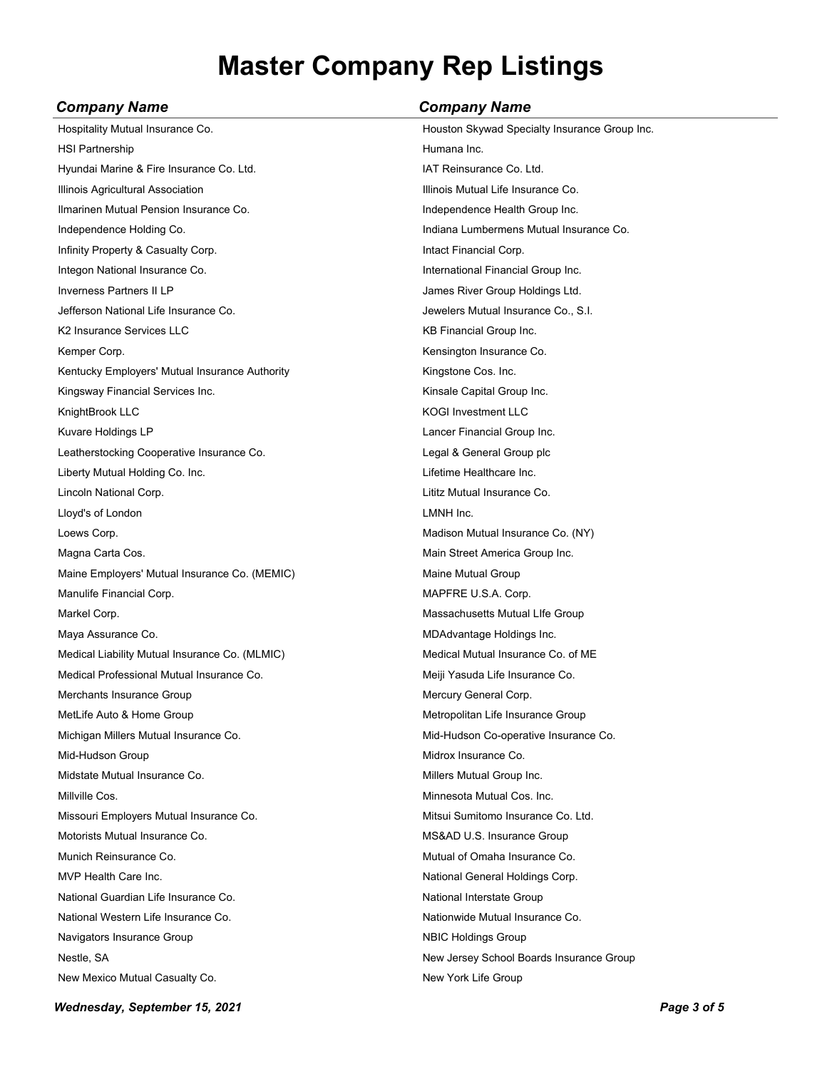| <b>Company Name</b>                            | <b>Company Name</b>                           |
|------------------------------------------------|-----------------------------------------------|
| Hospitality Mutual Insurance Co.               | Houston Skywad Specialty Insurance Group Inc. |
| <b>HSI Partnership</b>                         | Humana Inc.                                   |
| Hyundai Marine & Fire Insurance Co. Ltd.       | IAT Reinsurance Co. Ltd.                      |
| Illinois Agricultural Association              | Illinois Mutual Life Insurance Co.            |
| Ilmarinen Mutual Pension Insurance Co.         | Independence Health Group Inc.                |
| Independence Holding Co.                       | Indiana Lumbermens Mutual Insurance Co.       |
| Infinity Property & Casualty Corp.             | Intact Financial Corp.                        |
| Integon National Insurance Co.                 | International Financial Group Inc.            |
| <b>Inverness Partners II LP</b>                | James River Group Holdings Ltd.               |
| Jefferson National Life Insurance Co.          | Jewelers Mutual Insurance Co., S.I.           |
| K <sub>2</sub> Insurance Services LLC          | KB Financial Group Inc.                       |
| Kemper Corp.                                   | Kensington Insurance Co.                      |
| Kentucky Employers' Mutual Insurance Authority | Kingstone Cos. Inc.                           |
| Kingsway Financial Services Inc.               | Kinsale Capital Group Inc.                    |
| KnightBrook LLC                                | <b>KOGI Investment LLC</b>                    |
| Kuvare Holdings LP                             | Lancer Financial Group Inc.                   |
| Leatherstocking Cooperative Insurance Co.      | Legal & General Group plc                     |
| Liberty Mutual Holding Co. Inc.                | Lifetime Healthcare Inc.                      |
| Lincoln National Corp.                         | Lititz Mutual Insurance Co.                   |
| Lloyd's of London                              | LMNH Inc.                                     |
| Loews Corp.                                    | Madison Mutual Insurance Co. (NY)             |
| Magna Carta Cos.                               | Main Street America Group Inc.                |
| Maine Employers' Mutual Insurance Co. (MEMIC)  | Maine Mutual Group                            |
| Manulife Financial Corp.                       | MAPFRE U.S.A. Corp.                           |
| Markel Corp.                                   | Massachusetts Mutual Llfe Group               |
| Maya Assurance Co.                             | MDAdvantage Holdings Inc.                     |
| Medical Liability Mutual Insurance Co. (MLMIC) | Medical Mutual Insurance Co. of ME            |
| Medical Professional Mutual Insurance Co.      | Meiji Yasuda Life Insurance Co.               |
| Merchants Insurance Group                      | Mercury General Corp.                         |
| MetLife Auto & Home Group                      | Metropolitan Life Insurance Group             |
| Michigan Millers Mutual Insurance Co.          | Mid-Hudson Co-operative Insurance Co.         |
| Mid-Hudson Group                               | Midrox Insurance Co.                          |
| Midstate Mutual Insurance Co.                  | Millers Mutual Group Inc.                     |
| Millville Cos.                                 | Minnesota Mutual Cos. Inc.                    |
| Missouri Employers Mutual Insurance Co.        | Mitsui Sumitomo Insurance Co. Ltd.            |
| Motorists Mutual Insurance Co.                 | MS&AD U.S. Insurance Group                    |
| Munich Reinsurance Co.                         | Mutual of Omaha Insurance Co.                 |
| MVP Health Care Inc.                           | National General Holdings Corp.               |
| National Guardian Life Insurance Co.           | National Interstate Group                     |
| National Western Life Insurance Co.            | Nationwide Mutual Insurance Co.               |
| Navigators Insurance Group                     | <b>NBIC Holdings Group</b>                    |
| Nestle, SA                                     | New Jersey School Boards Insurance Group      |
| New Mexico Mutual Casualty Co.                 | New York Life Group                           |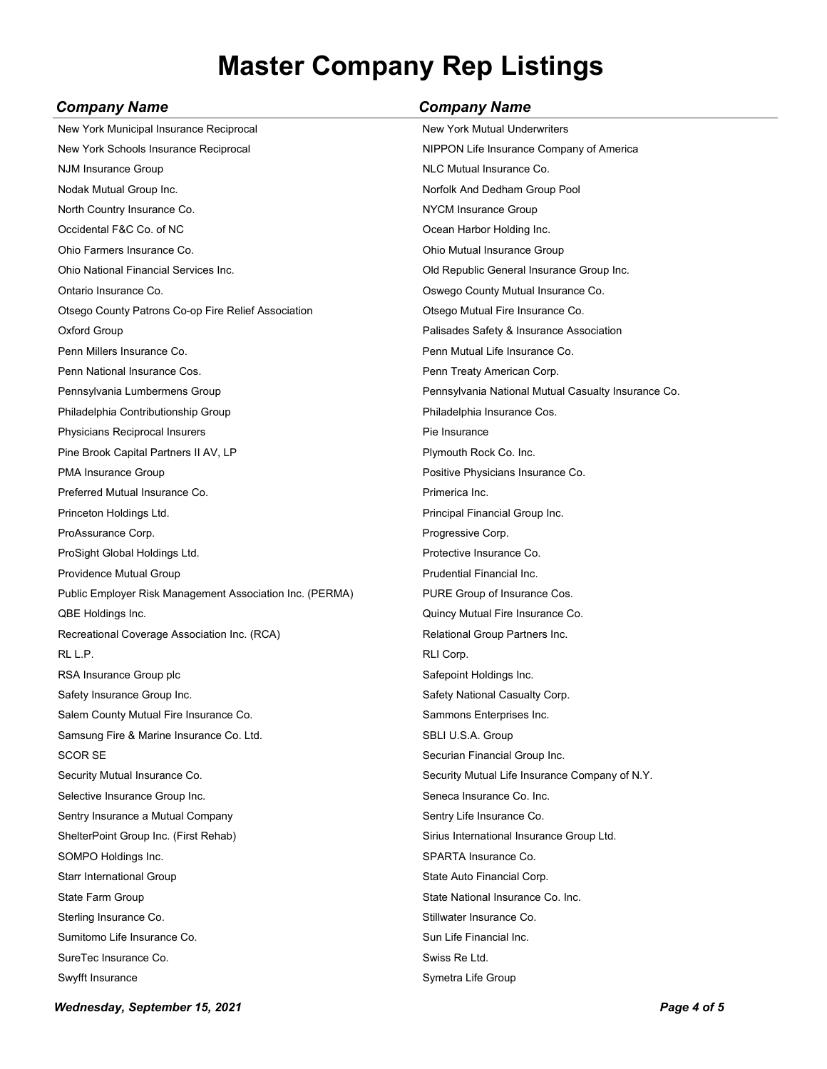| <b>Company Name</b> | <b>Company Name</b> |
|---------------------|---------------------|
|                     |                     |

| New York Municipal Insurance Reciprocal                  | New York Mutual Underwriters                        |
|----------------------------------------------------------|-----------------------------------------------------|
| New York Schools Insurance Reciprocal                    | NIPPON Life Insurance Company of America            |
| <b>NJM Insurance Group</b>                               | NLC Mutual Insurance Co.                            |
| Nodak Mutual Group Inc.                                  | Norfolk And Dedham Group Pool                       |
| North Country Insurance Co.                              | NYCM Insurance Group                                |
| Occidental F&C Co. of NC                                 | Ocean Harbor Holding Inc.                           |
| Ohio Farmers Insurance Co.                               | Ohio Mutual Insurance Group                         |
| Ohio National Financial Services Inc.                    | Old Republic General Insurance Group Inc.           |
| Ontario Insurance Co.                                    | Oswego County Mutual Insurance Co.                  |
| Otsego County Patrons Co-op Fire Relief Association      | Otsego Mutual Fire Insurance Co.                    |
| Oxford Group                                             | Palisades Safety & Insurance Association            |
| Penn Millers Insurance Co.                               | Penn Mutual Life Insurance Co.                      |
| Penn National Insurance Cos.                             | Penn Treaty American Corp.                          |
| Pennsylvania Lumbermens Group                            | Pennsylvania National Mutual Casualty Insurance Co. |
| Philadelphia Contributionship Group                      | Philadelphia Insurance Cos.                         |
| Physicians Reciprocal Insurers                           | Pie Insurance                                       |
| Pine Brook Capital Partners II AV, LP                    | Plymouth Rock Co. Inc.                              |
| PMA Insurance Group                                      | Positive Physicians Insurance Co.                   |
| Preferred Mutual Insurance Co.                           | Primerica Inc.                                      |
| Princeton Holdings Ltd.                                  | Principal Financial Group Inc.                      |
| ProAssurance Corp.                                       | Progressive Corp.                                   |
| ProSight Global Holdings Ltd.                            | Protective Insurance Co.                            |
| Providence Mutual Group                                  | Prudential Financial Inc.                           |
| Public Employer Risk Management Association Inc. (PERMA) | PURE Group of Insurance Cos.                        |
| QBE Holdings Inc.                                        | Quincy Mutual Fire Insurance Co.                    |
| Recreational Coverage Association Inc. (RCA)             | Relational Group Partners Inc.                      |
| RL L.P.                                                  | RLI Corp.                                           |
| RSA Insurance Group plc                                  | Safepoint Holdings Inc.                             |
| Safety Insurance Group Inc.                              | Safety National Casualty Corp.                      |
| Salem County Mutual Fire Insurance Co.                   | Sammons Enterprises Inc.                            |
| Samsung Fire & Marine Insurance Co. Ltd.                 | SBLI U.S.A. Group                                   |
| SCOR SE                                                  | Securian Financial Group Inc.                       |
| Security Mutual Insurance Co.                            | Security Mutual Life Insurance Company of N.Y.      |
| Selective Insurance Group Inc.                           | Seneca Insurance Co. Inc.                           |
| Sentry Insurance a Mutual Company                        | Sentry Life Insurance Co.                           |
| ShelterPoint Group Inc. (First Rehab)                    | Sirius International Insurance Group Ltd.           |
| SOMPO Holdings Inc.                                      | SPARTA Insurance Co.                                |
| Starr International Group                                | State Auto Financial Corp.                          |
| State Farm Group                                         | State National Insurance Co. Inc.                   |
| Sterling Insurance Co.                                   | Stillwater Insurance Co.                            |
| Sumitomo Life Insurance Co.                              | Sun Life Financial Inc.                             |
| SureTec Insurance Co.                                    | Swiss Re Ltd.                                       |
| Swyfft Insurance                                         | Symetra Life Group                                  |

*Wednesday, September 15, 2021 Page 4 of 5*